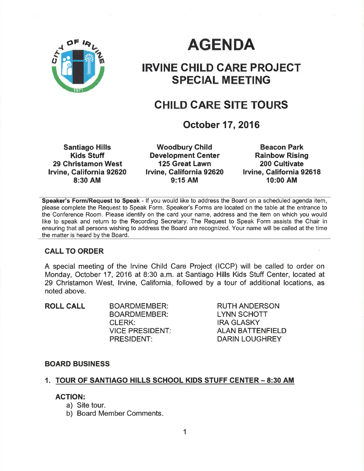

# AGENDA

# IRVINE CHILD GARE PROJECT SPECIAL MEETING

# CHILD GARE SITE TOURS

October 17,2016

Santiago Hills Kids Stuff 29 Christamon West lrvine, Galifornia 92620 8:30 AM

**Woodbury Child** Development Center 125 Great Lawn lrvine, California 92620 9:15 AM

Beacon Park Rainbow Rising 200 Gultivate Irvine, California 92618 10:00 AM

Speaker's Form/Request to Speak - lf you would like to address the Board on a scheduled agenda item, please complete the Request to Speak Form. Speaker's Forms are located on the table at the entrance to the Conference Room. Please identify on the card your name, address and the item on which you would like to speak and return to the Recording Secretary. The Request to Speak Form assists the Chair in ensuring that all persons wishing to address the Board are recognized. Your name will be called at the time the matter is heard by the Board.

#### CALL TO ORDER

A special meeting of the lrvine Child Care Project (ICCP) will be called to order on Monday, October 17, 2016 at 8:30 a.m. at Santiago Hills Kids Stuff Center, located at 29 Christamon West, lrvine, California, followed by a tour of additional locations, as noted above.

ROLL CALL BOARDMEMBER: BOARDMEMBER: CLERK: **VICE PRESIDENT:** PRESIDENT:

RUTH ANDERSON LYNN SCHOTT IRA GLASKY ALAN BATTENFIELD DARIN LOUGHREY

#### BOARD BUSINESS

#### 1. TOUR OF SANTIAGO HILLS SCHOOL KIDS STUFF CENTER - 8:30 AM

#### AGTION:

- a) Site tour.
- b) Board Member Comments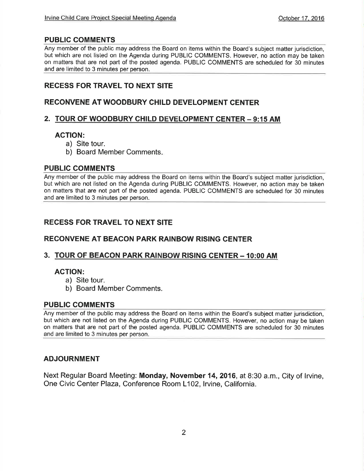# PUBLIC COMMENTS

Any member of the public may address the Board on items within the Board's subject matter jurisdiction, but which are not listed on the Agenda during PUBLIC COMMENTS. However, no action may be taken on matters that are not part of the posted agenda. PUBLIC COMMENTS are scheduled for 30 minutes and are limited to 3 minutes per person.

# REGESS FOR TRAVEL TO NEXT SITE

# RECONVENE AT WOODBURY CHILD DEVELOPMENT CENTER

## 2. TOUR OF WOODBURY CHILD DEVELOPMENT CENTER - 9:15 AM

## AGTION:

- a) Site tour.
- b) Board Member Comments

#### PUBLIC COMMENTS

Any member of the public may address the Board on items within the Board's subject matter jurisdiction, but which are not listed on the Agenda during PUBLIC COMMENTS. However, no action may be taken on matters that are not part of the posted agenda. PUBLIC COMMENTS are scheduled for 30 minutes and are limíted to 3 minutes per person.

# RECESS FOR TRAVEL TO NEXT SITE

### RECONVENE AT BEACON PARK RAINBOW RISING CENTER

#### 3. TOUR OF BEACON PARK RAINBOW RISING CENTER - 10:00 AM

#### AGTION:

- a) Site tour.
- b) Board Member Comments.

#### PUBLIC COMMENTS

Any member of the public may address the Board on items within the Board's subject matter jurisdiction, but which are not listed on the Agenda during PUBLIC COMMENTS. However, no action may be taken on matters that are not part of the posted agenda. PUBLIC COMMENTS are scheduled for 30 minutes and are limited to 3 minutes per person.

#### ADJOURNMENT

Next Regular Board Meeting: **Monday, November 14, 2016**, at 8:30 a.m., City of Irvine, One Civic Center Plaza, Conference Room L102, Irvine, California.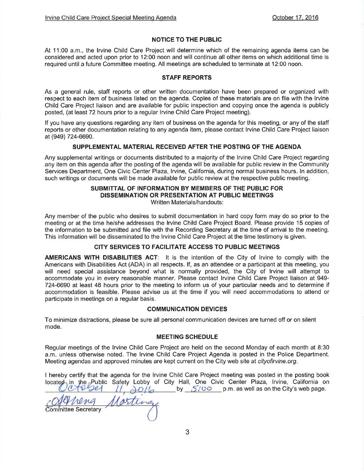#### NOTICE TO THE PUBLIC

At 11:00 a.m., the Irvine Child Care Project will determine which of the remaining agenda items can be considered and acted upon prior to 12:00 noon and will continue all other items on which additional time is required untila future Committee meeting. All meetings are scheduled to terminate at 12:00 noon.

#### STAFF REPORTS

As a general rule, staff reports or other written documentation have been prepared or organízed with respect to each item of business listed on the agenda. Coples of these materials are on file with the lrvlne Child Care Project liaison and are available for public inspection and copying once the agenda is publicly posted, (at least 72 hours prior to a regular lrvine Child Care Project meeting).

lf you have any questions regarding any item of business on the agenda for this meeting, or any of the staff reports or other documentation relating to any agenda item, please contact lrvine Child Care Project liaison at (9a9) 724-6690.

#### SUPPLEMENTAL MATERIAL RECEIVED AFTER THE POSTING OF THE AGENDA

Any supplemental writings or documents distributed to a majority of the lrvine Child Care Project regarding any item on this agenda after the posting of the agenda will be available for public review in the Community Services Department, One Civic Center Plaza, Irvine, California, during normal business hours. In addition, such writings or documents will be made available for public review at the respective public meeting.

#### SUBMITTAL OF INFORMATION BY MEMBERS OF THE PUBLIC FOR DISSEMINATION OR PRESENTATION AT PUBLIC MEETINGS Written Materials/handouts:

Any member of the public who desires to submit documentation in hard copy form may do so prior to the meeting or at the time he/she addresses the lrvine Child Care Project Board. Please provide 15 copies of the information to be submitted and file with the Recording Secretary at the time of arrival to the meeting. This information will be disseminated to the lrvine Child Care Project at the time testimony is given.

#### CITY SERVICES TO FACILITATE ACCESS TO PUBLIC MEETINGS

AMERICANS WITH DISABILITIES ACT: It is the intention of the City of Irvine to comply with the Americans with Disabilities Act (ADA) in all respects. lf, as an attendee or a participant at this meeting, you will need special assistance beyond what is normally provided, the City of lrvine will attempt to accommodate you in every reasonable manner. Please contact lrvine Child Care Project liaison at 949- 724-6690 at least 48 hours prior to the meeting to inform us of your particular needs and to determine if accommodation is feasible. Please advise us at the time if you will need accommodations to attend or participate in meetings on a regular basis.

#### COMMUNICATION DEVICES

To minimize distractions, please be sure all personal communication devices are turned off or on silent mode.

#### MEETING SCHEDULE

Regular meetings of the lrvine Child Care Project are held on the second Monday of each month at B:30 a.m. unless otherwise noted. The lrvine Child Care Project Agenda is posted in the Police Department. Meeting agendas and approved minutes are kept current on the City web site at cityofirvine.org.

I hereby certify that the agenda for the lrvine Child Care Project meeting was posted in the posting book  $\frac{\partial O}{\partial \rho}$  by  $\frac{.5700}{.5}$  p.m. as well as on the City's web page. located in the Public Safety Lobby of City Hall, One Civic Center Plaza, Irvine, California on

Committee Secretary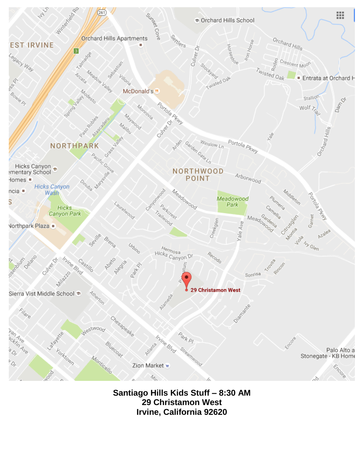

**Santiago Hills Kids Stuff – 8:30 AM 29 Christamon West Irvine, California 92620**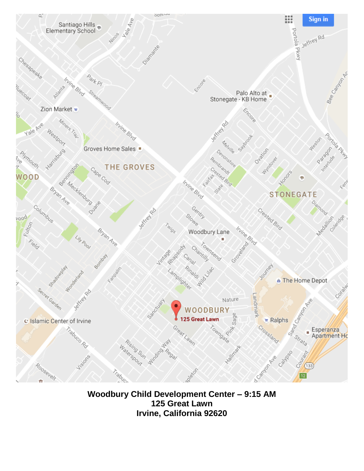

**Woodbury Child Development Center – 9:15 AM 125 Great Lawn Irvine, California 92620**